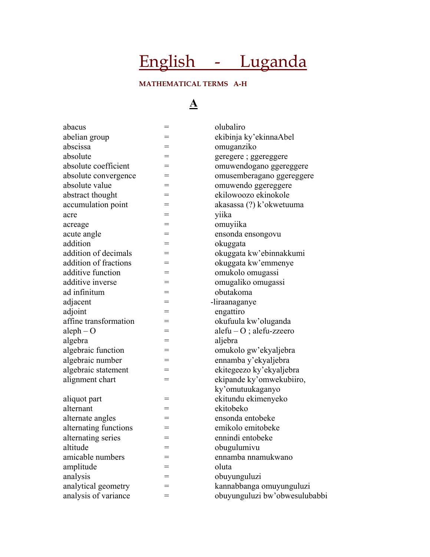# English - Luganda

### **MATHEMATICAL TERMS A-H**

### **A**

| abacus                | $=$ | olubaliro                     |
|-----------------------|-----|-------------------------------|
| abelian group         |     | ekibinja ky'ekinnaAbel        |
| abscissa              | $=$ | omuganziko                    |
| absolute              | $=$ | geregere ; ggereggere         |
| absolute coefficient  | $=$ | omuwendogano ggereggere       |
| absolute convergence  | =   | omusemberagano ggereggere     |
| absolute value        | $=$ | omuwendo ggereggere           |
| abstract thought      | =   | ekilowoozo ekinokole          |
| accumulation point    |     | akasassa (?) k'okwetuuma      |
| acre                  | =   | yiika                         |
| acreage               | $=$ | omuyiika                      |
| acute angle           |     | ensonda ensongovu             |
| addition              | =   | okuggata                      |
| addition of decimals  | $=$ | okuggata kw'ebinnakkumi       |
| addition of fractions | $=$ | okuggata kw'emmenye           |
| additive function     | $=$ | omukolo omugassi              |
| additive inverse      | $=$ | omugaliko omugassi            |
| ad infinitum          | $=$ | obutakoma                     |
| adjacent              | $=$ | -liraanaganye                 |
| adjoint               | =   | engattiro                     |
| affine transformation | =   | okufuula kw'oluganda          |
| $aleph - O$           |     | $alefu-O$ ; alefu-zzeero      |
| algebra               | =   | aljebra                       |
| algebraic function    | $=$ | omukolo gw'ekyaljebra         |
| algebraic number      | $=$ | ennamba y'ekyaljebra          |
| algebraic statement   | =   | ekitegeezo ky'ekyaljebra      |
| alignment chart       | $=$ | ekipande ky'omwekubiiro,      |
|                       |     | ky'omutuukaganyo              |
| aliquot part          | =   | ekitundu ekimenyeko           |
| alternant             | =   | ekitobeko                     |
| alternate angles      | $=$ | ensonda entobeke              |
| alternating functions |     | emikolo emitobeke             |
| alternating series    | $=$ | ennindi entobeke              |
| altitude              |     | obugulumivu                   |
| amicable numbers      | =   | ennamba nnamukwano            |
| amplitude             | =   | oluta                         |
| analysis              | =   | obuyunguluzi                  |
| analytical geometry   | =   | kannabbanga omuyunguluzi      |
| analysis of variance  |     | obuyunguluzi bw'obwesulubabbi |
|                       |     |                               |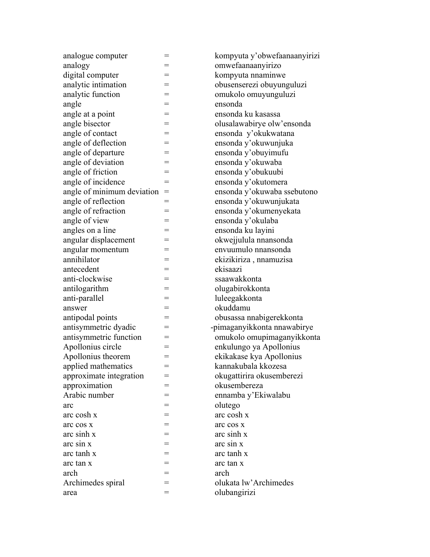| analogue computer          | =   | kompyuta y   |
|----------------------------|-----|--------------|
| analogy                    |     | omwefaana    |
| digital computer           | $=$ | kompyuta i   |
| analytic intimation        |     | obusensere   |
| analytic function          | $=$ | omukolo or   |
| angle                      | $=$ | ensonda      |
| angle at a point           | $=$ | ensonda ku   |
| angle bisector             |     | olusalawab   |
| angle of contact           | $=$ | ensonda y    |
| angle of deflection        | $=$ | ensonda y'   |
| angle of departure         | $=$ | ensonda y'   |
| angle of deviation         | $=$ | ensonda y'   |
| angle of friction          | $=$ | ensonda y'   |
| angle of incidence         | $=$ | ensonda y'   |
| angle of minimum deviation | $=$ | ensonda y'   |
| angle of reflection        | $=$ | ensonda y'   |
| angle of refraction        | $=$ | ensonda y'   |
| angle of view              | =   | ensonda y'   |
| angles on a line           | $=$ | ensonda ku   |
| angular displacement       | $=$ | okwejjulula  |
| angular momentum           | =   | envuumulo    |
| annihilator                | $=$ | ekizikiriza  |
| antecedent                 | $=$ | ekisaazi     |
| anti-clockwise             | $=$ | ssaawakko    |
| antilogarithm              | $=$ | olugabirokl  |
| anti-parallel              | $=$ | luleegakko   |
| answer                     | $=$ | okuddamu     |
| antipodal points           |     | obusassa ni  |
| antisymmetric dyadic       | $=$ | -pimaganyik  |
| antisymmetric function     |     | omukolo o    |
| Apollonius circle          | $=$ | enkulungo    |
| Apollonius theorem         | $=$ | ekikakase k  |
| applied mathematics        | $=$ | kannakubal   |
| approximate integration    |     | okugattirira |
| approximation              |     | okusember    |
| Arabic number              | Ξ   | ennamba y    |
| arc                        |     | olutego      |
| arc cosh x                 |     | arc cosh x   |
| arc cos x                  |     | arc cos x    |
| arc sinh x                 |     | arc sinh x   |
| arc sin x                  | =   | arc sin x    |
| arc tanh x                 | $=$ | arc tanh x   |
| arc tan x                  |     | arc tan x    |
| arch                       |     | arch         |
| Archimedes spiral          |     | olukata lw'  |
| area                       | $=$ | olubangiriz  |
|                            |     |              |

pyuta y'obwefaanaanyirizi . .<br>/efaanaanyirizo pyuta nnaminwe senserezi obuyunguluzi kolo omuyunguluzi nda ku kasassa alawabirye olw'ensonda nda y'okukwatana nda y'okuwunjuka nda y'obuyimufu nda y'okuwaba nda y'obukuubi nda y'okutomera nda y'okuwaba ssebutono nda y'okuwunjukata nda y'okumenyekata anda y'okulaba nda ku layini ejjulula nnansonda umulo nnansonda ikiriza , nnamuzisa wakkonta abirokkonta egakkonta assa nnabigerekkonta ganyikkonta nnawabirye kolo omupimaganyikkonta Ilungo ya Apollonius akase kya Apollonius akubala kkozesa attirira okusemberezi sembereza mba y'Ekiwalabu ata lw'Archimedes angirizi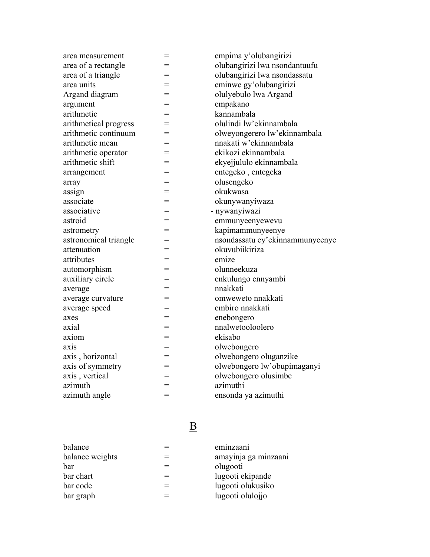| area measurement      | $=$ | empima y'olubangirizi           |
|-----------------------|-----|---------------------------------|
| area of a rectangle   | =   | olubangirizi lwa nsondantuufu   |
| area of a triangle    | $=$ | olubangirizi lwa nsondassatu    |
| area units            | $=$ | eminwe gy'olubangirizi          |
| Argand diagram        | $=$ | olulyebulo lwa Argand           |
| argument              | $=$ | empakano                        |
| arithmetic            | $=$ | kannambala                      |
| arithmetical progress | $=$ | olulindi lw'ekinnambala         |
| arithmetic continuum  | $=$ | olweyongerero lw'ekinnambala    |
| arithmetic mean       | $=$ | nnakati w'ekinnambala           |
| arithmetic operator   | $=$ | ekikozi ekinnambala             |
| arithmetic shift      | $=$ | ekyejjululo ekinnambala         |
| arrangement           | $=$ | entegeko, entegeka              |
| array                 | $=$ | olusengeko                      |
| assign                | $=$ | okukwasa                        |
| associate             | $=$ | okunywanyiwaza                  |
| associative           | $=$ | - nywanyiwazi                   |
| astroid               | $=$ | emmunyeenyewevu                 |
| astrometry            | $=$ | kapimammunyeenye                |
| astronomical triangle | $=$ | nsondassatu ey'ekinnammunyeenye |
| attenuation           | $=$ | okuvubiikiriza                  |
| attributes            | $=$ | emize                           |
| automorphism          | $=$ | olunneekuza                     |
| auxiliary circle      | $=$ | enkulungo ennyambi              |
| average               | =   | nnakkati                        |
| average curvature     | $=$ | omweweto nnakkati               |
| average speed         | $=$ | embiro nnakkati                 |
| axes                  | $=$ | enebongero                      |
| axial                 | $=$ | nnalwetooloolero                |
| axiom                 | $=$ | ekisabo                         |
| axis                  | $=$ | olwebongero                     |
| axis, horizontal      | $=$ | olwebongero oluganzike          |
| axis of symmetry      | $=$ | olwebongero lw'obupimaganyi     |
| axis, vertical        | $=$ | olwebongero olusimbe            |
| azimuth               | $=$ | azimuthi                        |
| azimuth angle         | $=$ | ensonda ya azimuthi             |

# <u>B</u>

| balance         | eminzaani            |
|-----------------|----------------------|
| balance weights | amayinja ga minzaani |
| bar             | olugooti             |
| bar chart       | lugooti ekipande     |
| bar code        | lugooti olukusiko    |
| bar graph       | lugooti olulojjo     |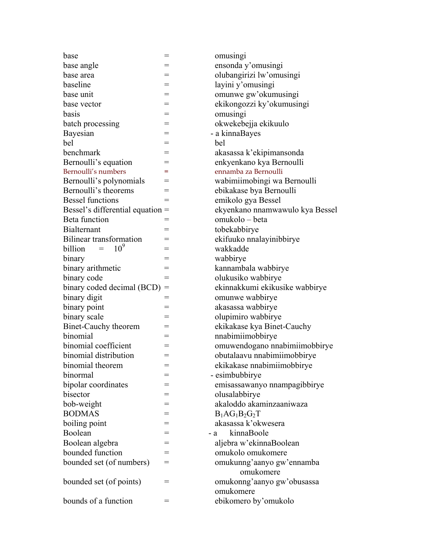| base                              | =   | omusingi                        |
|-----------------------------------|-----|---------------------------------|
| base angle                        | =   | ensonda y'omusingi              |
| base area                         | =   | olubangirizi lw'omusingi        |
| baseline                          | =   | layini y'omusingi               |
| base unit                         | =   | omunwe gw'okumusingi            |
| base vector                       | $=$ | ekikongozzi ky'okumusingi       |
| basis                             | =   | omusingi                        |
| batch processing                  |     | okwekebejja ekikuulo            |
| Bayesian                          | =   | - a kinnaBayes                  |
| bel                               | $=$ | bel                             |
| benchmark                         |     | akasassa k'ekipimansonda        |
| Bernoulli's equation              | =   | enkyenkano kya Bernoulli        |
| Bernoulli's numbers               | =   | ennamba za Bernoulli            |
| Bernoulli's polynomials           | =   | wabimiimobingi wa Bernoulli     |
| Bernoulli's theorems              |     | ebikakase bya Bernoulli         |
| <b>Bessel functions</b>           | $=$ | emikolo gya Bessel              |
| Bessel's differential equation =  |     | ekyenkano nnamwawulo kya Bessel |
| Beta function                     |     | omukolo - beta                  |
| <b>Bialternant</b>                | =   | tobekabbirye                    |
| Bilinear transformation           | =   | ekifuuko nnalayinibbirye        |
| 10 <sup>9</sup><br>billion<br>$=$ | =   | wakkadde                        |
| binary                            |     | wabbirye                        |
| binary arithmetic                 | =   | kannambala wabbirye             |
| binary code                       | $=$ | olukusiko wabbirye              |
| binary coded decimal (BCD)        | $=$ | ekinnakkumi ekikusike wabbirye  |
| binary digit                      | $=$ | omunwe wabbirye                 |
| binary point                      | =   | akasassa wabbirye               |
| binary scale                      | $=$ | olupimiro wabbirye              |
| Binet-Cauchy theorem              | =   | ekikakase kya Binet-Cauchy      |
| binomial                          | $=$ | nnabimiimobbirye                |
| binomial coefficient              | =   | omuwendogano nnabimiimobbirye   |
| binomial distribution             | $=$ | obutalaavu nnabimiimobbirye     |
| binomial theorem                  | $=$ | ekikakase nnabimiimobbirye      |
| binormal                          | =   | - esimbubbirye                  |
| bipolar coordinates               |     | emisassawanyo nnampagibbirye    |
| bisector                          | =   | olusalabbirye                   |
| bob-weight                        | =   | akaloddo akaminzaaniwaza        |
| <b>BODMAS</b>                     |     | $B_1AG_1B_2G_2T$                |
| boiling point                     | =   | akasassa k'okwesera             |
| Boolean                           |     | kinnaBoole<br>- a               |
| Boolean algebra                   | =   | aljebra w'ekinnaBoolean         |
| bounded function                  | =   | omukolo omukomere               |
| bounded set (of numbers)          | =   | omukunng'aanyo gw'ennamba       |
|                                   |     | omukomere                       |
| bounded set (of points)           | $=$ | omukonng'aanyo gw'obusassa      |
|                                   |     | omukomere                       |
| bounds of a function              | $=$ | ebikomero by'omukolo            |
|                                   |     |                                 |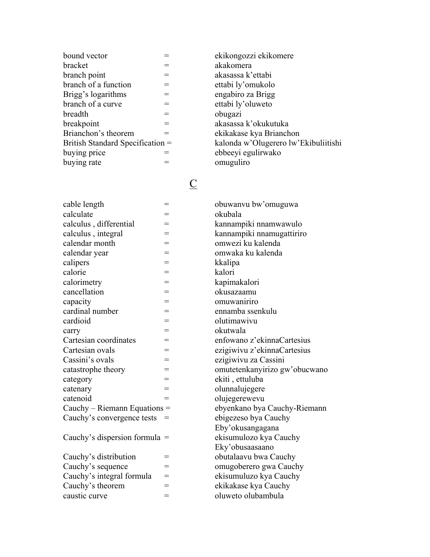| bound vector                     |     |
|----------------------------------|-----|
| bracket                          |     |
| branch point                     |     |
| branch of a function             | $=$ |
| Brigg's logarithms               | $=$ |
| branch of a curve                | ═   |
| breadth                          | =   |
| breakpoint                       |     |
| Brianchon's theorem              |     |
| British Standard Specification = |     |
| buying price                     |     |
| buying rate                      |     |

# <u>C</u>

| cable length                    | $=$ | obuwanyu bw'omuguwa      |
|---------------------------------|-----|--------------------------|
| calculate                       | $=$ | okubala                  |
| calculus, differential          | $=$ | kannampiki nnamwawulo    |
| calculus, integral              | $=$ | kannampiki nnamugattiri  |
| calendar month                  | $=$ | omwezi ku kalenda        |
| calendar year                   | $=$ | omwaka ku kalenda        |
| calipers                        | $=$ | kkalipa                  |
| calorie                         | $=$ | kalori                   |
| calorimetry                     | $=$ | kapimakalori             |
| cancellation                    | $=$ | okusazaamu               |
| capacity                        | $=$ | omuwaniriro              |
| cardinal number                 | $=$ | ennamba ssenkulu         |
| cardioid                        | $=$ | olutimawivu              |
| carry                           | $=$ | okutwala                 |
| Cartesian coordinates           | $=$ | enfowano z'ekinnaCartes  |
| Cartesian ovals                 | $=$ | ezigiwivu z'ekinnaCartes |
| Cassini's ovals                 | $=$ | ezigiwivu za Cassini     |
| catastrophe theory              | $=$ | omutetenkanyirizo gw'oł  |
| category                        | $=$ | ekiti, ettuluba          |
| catenary                        | $=$ | olunnalujegere           |
| catenoid                        | $=$ | olujegerewevu            |
| Cauchy – Riemann Equations $=$  |     | ebyenkano bya Cauchy-F   |
| Cauchy's convergence tests      |     | ebigezeso bya Cauchy     |
|                                 |     | Eby'okusangagana         |
| Cauchy's dispersion formula $=$ |     | ekisumulozo kya Cauchy   |
|                                 |     | Eky'obusaasaano          |
| Coughy's distribution           |     | obutolography Coughy     |

| $\alpha$                  |   |
|---------------------------|---|
| Cauchy's sequence         | ═ |
| Cauchy's integral formula | = |
| Cauchy's theorem          | Ξ |
| caustic curve             | = |
|                           |   |

ekikongozzi ekikomere akakomera akasassa k'ettabi ettabi ly'omukolo engabiro za Brigg ettabi ly'oluweto obugazi akasassa k'okukutuka ekikakase kya Brianchon kalonda w'Olugerero lw'Ekibuliitishi ebbeeyi egulirwako omuguliro

okubala kannampiki nnamwawulo kannampiki nnamugattiriro omwezi ku kalenda omwaka ku kalenda kkalipa kalori kapimakalori okusazaamu omuwaniriro ennamba ssenkulu olutimawivu okutwala enfowano z'ekinnaCartesius ezigiwivu z'ekinnaCartesius ezigiwivu za Cassini omutetenkanyirizo gw'obucwano ekiti, ettuluba olunnalujegere olujegerewevu ebyenkano bya Cauchy-Riemann ebigezeso bya Cauchy Eby'okusangagana ekisumulozo kya Cauchy Eky'obusaasaano Cauchy's distribution = obutalaavu bwa Cauchy omugoberero gwa Cauchy ekisumuluzo kya Cauchy ekikakase kya Cauchy oluweto olubambula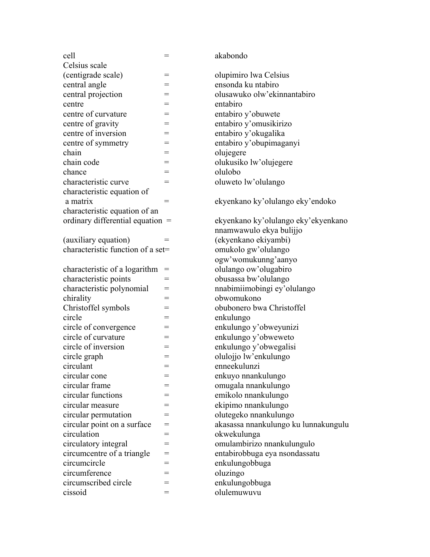| Celsius scale<br>(centigrade scale)<br>olupimiro lwa Celsius<br>=<br>central angle<br>ensonda ku ntabiro<br>= |  |
|---------------------------------------------------------------------------------------------------------------|--|
|                                                                                                               |  |
|                                                                                                               |  |
|                                                                                                               |  |
| central projection<br>olusawuko olw'ekinnantabiro<br>=                                                        |  |
| entabiro<br>centre                                                                                            |  |
| centre of curvature<br>entabiro y'obuwete<br>=                                                                |  |
| centre of gravity<br>entabiro y'omusikirizo                                                                   |  |
| centre of inversion<br>entabiro y'okugalika<br>$=$                                                            |  |
| entabiro y'obupimaganyi<br>centre of symmetry                                                                 |  |
| chain<br>olujegere                                                                                            |  |
| chain code<br>olukusiko lw'olujegere<br>=                                                                     |  |
| olulobo<br>chance<br>=                                                                                        |  |
| characteristic curve<br>oluweto lw'olulango<br>=                                                              |  |
| characteristic equation of                                                                                    |  |
| ekyenkano ky'olulango eky'endoko<br>a matrix<br>$=$                                                           |  |
| characteristic equation of an                                                                                 |  |
| ordinary differential equation $=$<br>ekyenkano ky'olulango eky'ekyenkano                                     |  |
| nnamwawulo ekya bulijjo                                                                                       |  |
| (ekyenkano ekiyambi)<br>(auxiliary equation)                                                                  |  |
| characteristic function of a set=<br>omukolo gw'olulango                                                      |  |
| ogw'womukunng'aanyo                                                                                           |  |
| olulango ow'olugabiro<br>characteristic of a logarithm<br>$=$                                                 |  |
| characteristic points<br>obusassa bw'olulango<br>=                                                            |  |
| characteristic polynomial<br>nnabimiimobingi ey'olulango                                                      |  |
| obwomukono<br>chirality<br>=                                                                                  |  |
| Christoffel symbols<br>obubonero bwa Christoffel<br>=                                                         |  |
| circle<br>enkulungo                                                                                           |  |
| circle of convergence<br>enkulungo y'obweyunizi<br>=                                                          |  |
| circle of curvature<br>enkulungo y'obweweto<br>$=$                                                            |  |
| circle of inversion<br>enkulungo y'obwegalisi<br>=                                                            |  |
| circle graph<br>olulojjo lw'enkulungo<br>$=$                                                                  |  |
| enneekulunzi<br>circulant                                                                                     |  |
| circular cone<br>enkuyo nnankulungo<br>=                                                                      |  |
| circular frame<br>omugala nnankulungo                                                                         |  |
| circular functions<br>emikolo nnankulungo                                                                     |  |
| ekipimo nnankulungo<br>circular measure<br>=                                                                  |  |
| circular permutation<br>olutegeko nnankulungo                                                                 |  |
| akasassa nnankulungo ku lunnakungulu<br>circular point on a surface<br>=                                      |  |
| circulation<br>okwekulunga<br>=                                                                               |  |
| circulatory integral<br>omulambirizo nnankulungulo                                                            |  |
| circumcentre of a triangle<br>entabirobbuga eya nsondassatu<br>=                                              |  |
| circumcircle<br>enkulungobbuga<br>=                                                                           |  |
| circumference<br>oluzingo<br>Ξ                                                                                |  |
| enkulungobbuga<br>circumscribed circle<br>=                                                                   |  |
| cissoid<br>olulemuwuvu                                                                                        |  |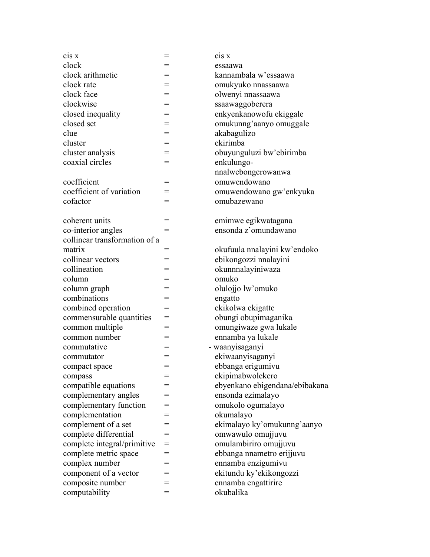| C <sub>1</sub> S X            | $=$      | C <sub>1</sub> S X             |
|-------------------------------|----------|--------------------------------|
| clock                         |          | essaawa                        |
| clock arithmetic              | =        | kannambala w'essaawa           |
| clock rate                    |          | omukyuko nnassaawa             |
| clock face                    | $=$      | olwenyi nnassaawa              |
| clockwise                     | =        | ssaawaggoberera                |
| closed inequality             | $=$      | enkyenkanowofu ekiggale        |
| closed set                    | =        | omukunng'aanyo omuggale        |
| clue                          | $=$      | akabagulizo                    |
| cluster                       | $=$      | ekirimba                       |
| cluster analysis              | =        | obuyunguluzi bw'ebirimba       |
| coaxial circles               | $=$      | enkulungo-                     |
|                               |          | nnalwebongerowanwa             |
| coefficient                   | $=$      | omuwendowano                   |
| coefficient of variation      | =        | omuwendowano gw'enkyuka        |
| cofactor                      | =        | omubazewano                    |
|                               |          |                                |
| coherent units                | =        | emimwe egikwatagana            |
| co-interior angles            | $=$      | ensonda z'omundawano           |
| collinear transformation of a |          |                                |
| matrix                        | =        | okufuula nnalayini kw'endoko   |
| collinear vectors             |          | ebikongozzi nnalayini          |
| collineation                  | =        | okunnnalayiniwaza              |
| column                        |          | omuko                          |
| column graph                  | =        | olulojjo lw'omuko              |
| combinations                  | =        | engatto                        |
| combined operation            | $=$      | ekikolwa ekigatte              |
| commensurable quantities      | =        | obungi obupimaganika           |
| common multiple               | $=$      | omungiwaze gwa lukale          |
| common number                 | =        | ennamba ya lukale              |
| commutative                   | =        | - waanyisaganyi                |
| commutator                    | $=$      | ekiwaanyisaganyi               |
| compact space                 | $=$      | ebbanga erigumivu              |
| compass                       |          | ekipimabwolekero               |
| compatible equations          |          | ebyenkano ebigendana/ebibakana |
| complementary angles          | =        | ensonda ezimalayo              |
| complementary function        | $=$      | omukolo ogumalayo              |
| complementation               | =        | okumalayo                      |
| complement of a set           | $=$      | ekimalayo ky'omukunng'aanyo    |
| complete differential         | $=$      | omwawulo omujjuvu              |
| complete integral/primitive   | $=$      | omulambiriro omujjuvu          |
|                               |          |                                |
| complete metric space         | $=$      | ebbanga nnametro erijjuvu      |
| complex number                | =<br>$=$ | ennamba enzigumivu             |
| component of a vector         |          | ekitundu ky'ekikongozzi        |
| composite number              |          | ennamba engattirire            |
| computability                 | $=$      | okubalika                      |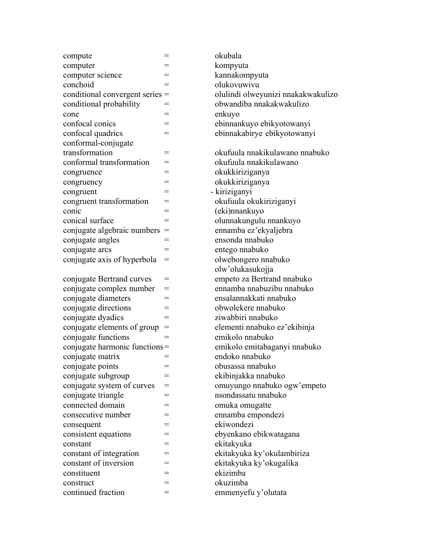| compute                       | Ξ   |
|-------------------------------|-----|
| computer                      | $=$ |
| computer science              | $=$ |
| conchoid                      | $=$ |
| conditional convergent series | $=$ |
| conditional probability       | $=$ |
| cone                          |     |
| confocal conics               | $=$ |
| confocal quadrics             | $=$ |
| conformal-conjugate           |     |
| transformation                | $=$ |
| conformal transformation      | $=$ |
| congruence                    | $=$ |
| congruency                    |     |
| congruent                     | $=$ |
| congruent transformation      | $=$ |
| conic                         | $=$ |
| conical surface               | $=$ |
|                               | $=$ |
| conjugate algebraic numbers   |     |
| conjugate angles              | =   |
| conjugate arcs                | $=$ |
| conjugate axis of hyperbola   | $=$ |
|                               |     |
| conjugate Bertrand curves     |     |
| conjugate complex number      | $=$ |
| conjugate diameters           | $=$ |
| conjugate directions          | $=$ |
| conjugate dyadics             | $=$ |
| conjugate elements of group   | $=$ |
| conjugate functions           | $=$ |
| conjugate harmonic functions= |     |
| conjugate matrix              | $=$ |
| conjugate points              |     |
| conjugate subgroup            |     |
| conjugate system of curves    |     |
| conjugate triangle            | $=$ |
| connected domain              | $=$ |
| consecutive number            |     |
| consequent                    |     |
| consistent equations          |     |
| constant                      | $=$ |
| constant of integration       | $=$ |
| constant of inversion         | $=$ |
| constituent                   |     |
| construct                     | $=$ |
| continued fraction            |     |
|                               |     |

olukovuwivu olulindi olweyunizi nnakakwakulizo obwandiba nnakakwakulizo enkuyo ebinnankuyo ebikyotowanyi ebinnakabirye ebikyotowanyi okufuula nnakikulawano nnabuko okufuula nnakikulawano okukkiriziganya okukkiriziganya - kiriziganyi okufuula okukiriziganyi (eki)nnankuyo olunnakungulu nnankuyo ennamba ez'ekyaljebra ensonda nnabuko entego nnabuko olwebongero nnabuko olw'olukasukojja empeto za Bertrand nnabuko ennamba nnabuzibu nnabuko ensalannakkati nnabuko obwolekere nnabuko ziwabbiri nnabuko elementi nnabuko ez'ekibinja emikolo nnabuko emikolo emitabaganyi nnabuko endoko nnabuko obusassa nnabuko ekibinjakka nnabuko omuyungo nnabuko ogw'empeto nsondassatu nnabuko omuka omugatte ennamba empondezi ekiwondezi ebyenkano ebikwatagana ekitakyuka ekitakyuka ky'okulambiriza ekitakyuka ky'okugalika ekizimba okuzimba emmenyefu y'olutata

okubala kompyuta

kannakompyuta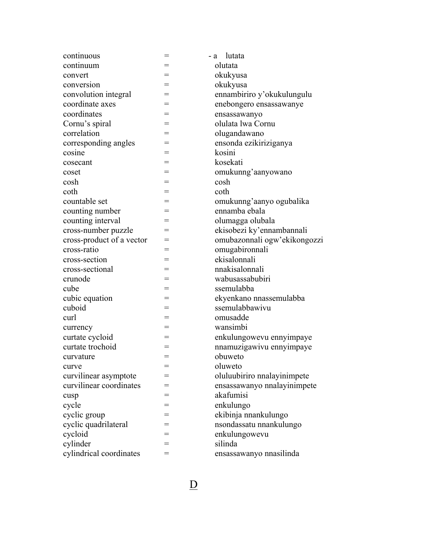| continuous                |     | lutata<br>- a                |
|---------------------------|-----|------------------------------|
| continuum                 |     | olutata                      |
| convert                   |     | okukyusa                     |
| conversion                | $=$ | okukyusa                     |
| convolution integral      |     | ennambiriro y'okukulungulu   |
| coordinate axes           |     | enebongero ensassawanye      |
| coordinates               | =   | ensassawanyo                 |
| Cornu's spiral            |     | olulata lwa Cornu            |
| correlation               | $=$ | olugandawano                 |
| corresponding angles      |     | ensonda ezikiriziganya       |
| cosine                    |     | kosini                       |
| cosecant                  | =   | kosekati                     |
| coset                     |     | omukunng'aanyowano           |
| cosh                      | =   | cosh                         |
| coth                      |     | coth                         |
| countable set             |     | omukunng'aanyo ogubalika     |
| counting number           | =   | ennamba ebala                |
| counting interval         | =   | olumagga olubala             |
| cross-number puzzle       | $=$ | ekisobezi ky'ennambannali    |
| cross-product of a vector |     | omubazonnali ogw'ekikongozzi |
| cross-ratio               |     | omugabironnali               |
| cross-section             | =   | ekisalonnali                 |
| cross-sectional           |     | nnakisalonnali               |
| crunode                   | $=$ | wabusassabubiri              |
| cube                      |     | ssemulabba                   |
| cubic equation            |     | ekyenkano nnassemulabba      |
| cuboid                    | =   | ssemulabbawivu               |
| curl                      |     | omusadde                     |
| currency                  | $=$ | wansimbi                     |
| curtate cycloid           | =   | enkulungowevu ennyimpaye     |
| curtate trochoid          |     | nnamuzigawivu ennyimpaye     |
| curvature                 | =   | obuweto                      |
| curve                     | $=$ | oluweto                      |
| curvilinear asymptote     | =   | oluluubiriro nnalayinimpete  |
| curvilinear coordinates   | =   | ensassawanyo nnalayinimpete  |
| cusp                      |     | akafumisi                    |
| cycle                     | =   | enkulungo                    |
| cyclic group              | =   | ekibinja nnankulungo         |
| cyclic quadrilateral      | =   | nsondassatu nnankulungo      |
| cycloid                   | =   | enkulungowevu                |
| cylinder                  |     | silinda                      |
| cylindrical coordinates   | =   | ensassawanyo nnasilinda      |

<u>D</u>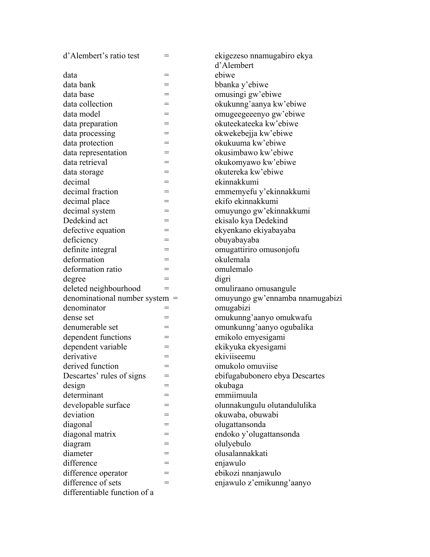| d'Alembert's ratio test                            | $=$ | ekigezeso nnamugabiro ekya      |
|----------------------------------------------------|-----|---------------------------------|
|                                                    |     | d'Alembert                      |
| data                                               | $=$ | ebiwe                           |
| data bank                                          | $=$ | bbanka y'ebiwe                  |
| data base                                          |     | omusingi gw'ebiwe               |
| data collection                                    | $=$ | okukunng'aanya kw'ebiwe         |
| data model                                         | $=$ | omugeegeeenyo gw'ebiwe          |
| data preparation                                   |     | okuteekateeka kw'ebiwe          |
| data processing                                    | $=$ | okwekebejja kw'ebiwe            |
| data protection                                    |     | okukuuma kw'ebiwe               |
| data representation                                | $=$ | okusimbawo kw'ebiwe             |
| data retrieval                                     | =   | okukomyawo kw'ebiwe             |
| data storage                                       |     | okutereka kw'ebiwe              |
| decimal                                            | $=$ | ekinnakkumi                     |
| decimal fraction                                   |     | emmemyefu y'ekinnakkumi         |
| decimal place                                      | $=$ | ekifo ekinnakkumi               |
| decimal system                                     | $=$ | omuyungo gw'ekinnakkumi         |
| Dedekind act                                       |     | ekisalo kya Dedekind            |
| defective equation                                 | $=$ | ekyenkano ekiyabayaba           |
| deficiency                                         |     | obuyabayaba                     |
| definite integral                                  | $=$ | omugattiriro omusonjofu         |
| deformation                                        | =   | okulemala                       |
| deformation ratio                                  |     | omulemalo                       |
| degree                                             | $=$ | digri                           |
| deleted neighbourhood                              | $=$ | omuliraano omusangule           |
| denominational number system $=$                   |     | omuyungo gw'ennamba nnamugabizi |
| denominator                                        | $=$ | omugabizi                       |
| dense set                                          |     | omukunng'aanyo omukwafu         |
| denumerable set                                    | $=$ | omunkunng'aanyo ogubalika       |
| dependent functions                                | $=$ | emikolo emyesigami              |
| dependent variable                                 | $=$ | ekikyuka ekyesigami             |
| derivative                                         | $=$ | ekiviiseemu                     |
| derived function                                   | $=$ | omukolo omuviise                |
| Descartes' rules of signs                          | =   | ebifugabubonero ebya Descartes  |
| design                                             | =   | okubaga                         |
| determinant                                        | $=$ | emmiimuula                      |
| developable surface                                | =   | olunnakungulu olutandululika    |
| deviation                                          |     |                                 |
|                                                    |     | okuwaba, obuwabi                |
|                                                    | =   | olugattansonda                  |
| diagonal                                           | $=$ |                                 |
| diagonal matrix                                    | $=$ | endoko y'olugattansonda         |
| diagram<br>diameter                                | $=$ | olulyebulo<br>olusalannakkati   |
| difference                                         |     | enjawulo                        |
| difference operator                                | $=$ | ebikozi nnanjawulo              |
| difference of sets<br>differentiable function of a | $=$ | enjawulo z'emikunng'aanyo       |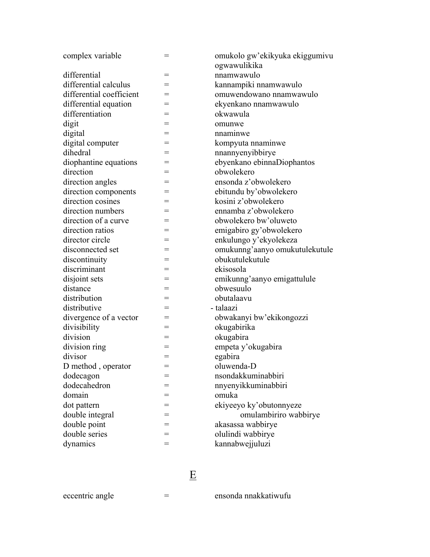| complex variable         | $=$ | omukolo gw'ekikyuka ekiggumivu<br>ogwawulikika |
|--------------------------|-----|------------------------------------------------|
| differential             | $=$ | nnamwawulo                                     |
| differential calculus    | $=$ | kannampiki nnamwawulo                          |
| differential coefficient | $=$ | omuwendowano nnamwawulo                        |
| differential equation    | $=$ | ekyenkano nnamwawulo                           |
| differentiation          | =   | okwawula                                       |
| digit                    | =   | omunwe                                         |
| digital                  | =   | nnaminwe                                       |
| digital computer         |     | kompyuta nnaminwe                              |
| dihedral                 | =   | nnannyenyibbirye                               |
| diophantine equations    | =   | ebyenkano ebinnaDiophantos                     |
| direction                |     | obwolekero                                     |
| direction angles         | =   | ensonda z'obwolekero                           |
| direction components     |     | ebitundu by'obwolekero                         |
| direction cosines        |     | kosini z'obwolekero                            |
| direction numbers        | $=$ | ennamba z'obwolekero                           |
| direction of a curve     | $=$ | obwolekero bw'oluweto                          |
| direction ratios         | $=$ | emigabiro gy'obwolekero                        |
| director circle          |     | enkulungo y'ekyolekeza                         |
| disconnected set         | $=$ | omukunng'aanyo omukutulekutule                 |
| discontinuity            | =   | obukutulekutule                                |
| discriminant             | $=$ | ekisosola                                      |
| disjoint sets            | $=$ | emikunng'aanyo emigattulule                    |
| distance                 | $=$ | obwesuulo                                      |
| distribution             | $=$ | obutalaavu                                     |
| distributive             | =   | - talaazi                                      |
| divergence of a vector   | =   | obwakanyi bw'ekikongozzi                       |
| divisibility             | $=$ | okugabirika                                    |
| division                 | =   | okugabira                                      |
| division ring            | =   | empeta y'okugabira                             |
| divisor                  | $=$ | egabira                                        |
| D method, operator       |     | oluwenda-D                                     |
| dodecagon                | =   | nsondakkuminabbiri                             |
| dodecahedron             | =   | nnyenyikkuminabbiri                            |
| domain                   |     | omuka                                          |
| dot pattern              | =   | ekiyeeyo ky'obutonnyeze                        |
| double integral          |     | omulambiriro wabbirye                          |
| double point             | =   | akasassa wabbirye                              |
| double series            | $=$ | olulindi wabbirye                              |
| dynamics                 | $=$ | kannabwejjuluzi                                |

# Experience of the state of the state of the state of the state of the state of the state of the state of the s<br>Experience of the state of the state of the state of the state of the state of the state of the state of the s

eccentric angle  $=$  ensonda nnakkatiwufu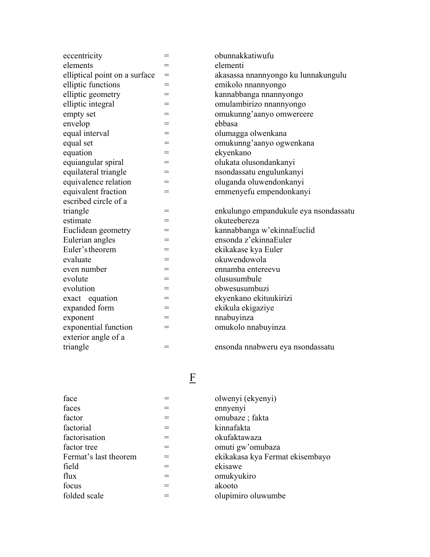| eccentricity                  | $=$ | obunnakkatiwufu                       |
|-------------------------------|-----|---------------------------------------|
| elements                      | $=$ | elementi                              |
| elliptical point on a surface | $=$ | akasassa nnannyongo ku lunnakungulu   |
| elliptic functions            | $=$ | emikolo nnannyongo                    |
| elliptic geometry             | $=$ | kannabbanga nnannyongo                |
| elliptic integral             | =   | omulambirizo nnannyongo               |
| empty set                     | $=$ | omukunng'aanyo omwereere              |
| envelop                       | $=$ | ebbasa                                |
| equal interval                | $=$ | olumagga olwenkana                    |
| equal set                     | $=$ | omukunng'aanyo ogwenkana              |
| equation                      | $=$ | ekyenkano                             |
| equiangular spiral            | $=$ | olukata olusondankanyi                |
| equilateral triangle          | $=$ | nsondassatu engulunkanyi              |
| equivalence relation          | $=$ | oluganda oluwendonkanyi               |
| equivalent fraction           | $=$ | emmenyefu empendonkanyi               |
| escribed circle of a          |     |                                       |
| triangle                      | $=$ | enkulungo empandukule eya nsondassatu |
| estimate                      | $=$ | okuteebereza                          |
| Euclidean geometry            | $=$ | kannabbanga w'ekinnaEuclid            |
| Eulerian angles               | =   | ensonda z'ekinnaEuler                 |
| Euler's theorem               | $=$ | ekikakase kya Euler                   |
| evaluate                      | $=$ | okuwendowola                          |
| even number                   | $=$ | ennamba entereevu                     |
| evolute                       | $=$ | olususumbule                          |
| evolution                     | $=$ | obwesusumbuzi                         |
| exact equation                | $=$ | ekyenkano ekituukirizi                |
| expanded form                 | $=$ | ekikula ekigaziye                     |
| exponent                      | $=$ | nnabuyinza                            |
| exponential function          | $=$ | omukolo nnabuyinza                    |
| exterior angle of a           |     |                                       |
| triangle                      | $=$ | ensonda nnabweru eya nsondassatu      |

| face                  |     | olwenyi (ekyenyi)    |
|-----------------------|-----|----------------------|
| faces                 |     | ennyenyi             |
| factor                | $=$ | omubaze; fakta       |
| factorial             | $=$ | kinnafakta           |
| factorisation         | $=$ | okufaktawaza         |
| factor tree           | $=$ | omuti gw'omubaza     |
| Fermat's last theorem | $=$ | ekikakasa kya Fermat |
| field                 | $=$ | ekisawe              |
| flux                  | $=$ | omukyukiro           |
| focus                 | $=$ | akooto               |
| folded scale          |     | olupimiro oluwumbe   |

| ensonda nnabweru eya nsondassatu |  |  |  |  |  |  |
|----------------------------------|--|--|--|--|--|--|
|----------------------------------|--|--|--|--|--|--|

| face                  |     | olwenyi (ekyenyi)               |
|-----------------------|-----|---------------------------------|
| faces                 |     | ennyenyi                        |
| factor                | $=$ | omubaze; fakta                  |
| factorial             | $=$ | kinnafakta                      |
| factorisation         | $=$ | okufaktawaza                    |
| factor tree           | $=$ | omuti gw'omubaza                |
| Fermat's last theorem | $=$ | ekikakasa kya Fermat ekisembayo |
| field                 | $=$ | ekisawe                         |
| flux                  | $=$ | omukyukiro                      |
| focus                 | $=$ | akooto                          |
| folded scale          |     | olupimiro oluwumbe              |
|                       |     |                                 |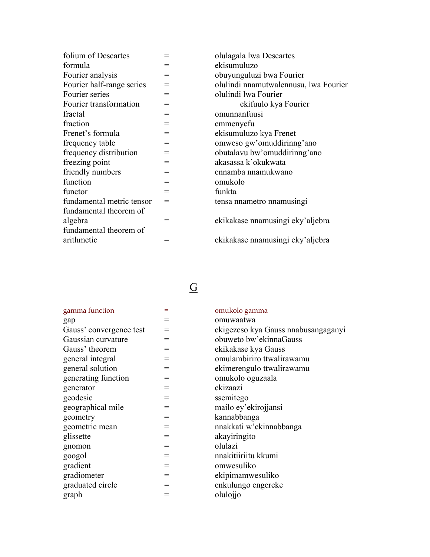| folium of Descartes       |                 | olulagala lwa Descartes               |
|---------------------------|-----------------|---------------------------------------|
| formula                   | $=$             | ekisumuluzo                           |
| Fourier analysis          | $=$             | obuyunguluzi bwa Fourier              |
| Fourier half-range series | $=$             | olulindi nnamutwalennusu, lwa Fourier |
| Fourier series            | $=$             | olulindi lwa Fourier                  |
| Fourier transformation    | $=$             | ekifuulo kya Fourier                  |
| fractal                   | $=$             | omunnanfuusi                          |
| fraction                  | $=$             | emmenyefu                             |
| Frenet's formula          | $=$             | ekisumuluzo kya Frenet                |
| frequency table           | $=$             | omweso gw'omuddirinng'ano             |
| frequency distribution    | $=$             | obutalavu bw'omuddirinng'ano          |
| freezing point            | $\!\!\!=\!\!\!$ | akasassa k'okukwata                   |
| friendly numbers          | $=$             | ennamba nnamukwano                    |
| function                  | $=$             | omukolo                               |
| functor                   | $=$             | funkta                                |
| fundamental metric tensor | $=$             | tensa nnametro nnamusingi             |
| fundamental theorem of    |                 |                                       |
| algebra                   | =               | ekikakase nnamusingi eky'aljebra      |
| fundamental theorem of    |                 |                                       |
| arithmetic                |                 | ekikakase nnamusingi eky'aljebra      |
|                           |                 |                                       |

### **G** and the state of  $\overline{G}$

| gamma function          | =   | omukolo gamma                       |
|-------------------------|-----|-------------------------------------|
| gap                     |     | omuwaatwa                           |
| Gauss' convergence test | $=$ | ekigezeso kya Gauss nnabusangaganyi |
| Gaussian curvature      | $=$ | obuweto bw'ekinnaGauss              |
| Gauss' theorem          | $=$ | ekikakase kya Gauss                 |
| general integral        | $=$ | omulambiriro ttwalirawamu           |
| general solution        | $=$ | ekimerengulo ttwalirawamu           |
| generating function     |     | omukolo oguzaala                    |
| generator               | $=$ | ekizaazi                            |
| geodesic                | $=$ | ssemitego                           |
| geographical mile       | $=$ | mailo ey'ekirojjansi                |
| geometry                | $=$ | kannabbanga                         |
| geometric mean          | $=$ | nnakkati w'ekinnabbanga             |
| glissette               | $=$ | akayiringito                        |
| gnomon                  | $=$ | olulazi                             |
| googol                  | $=$ | nnakitiiriitu kkumi                 |
| gradient                | $=$ | omwesuliko                          |
| gradiometer             | $=$ | ekipimamwesuliko                    |
| graduated circle        | $=$ | enkulungo engereke                  |
| graph                   |     | olulojjo                            |
|                         |     |                                     |